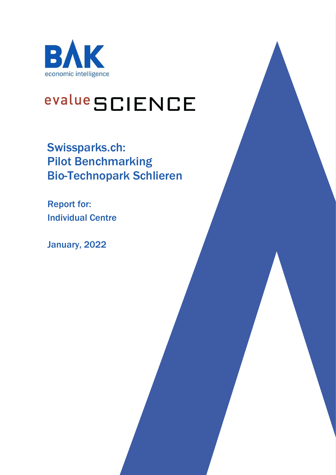

# evalue SCIENCE

Swissparks.ch: Pilot Benchmarking Bio-Technopark Schlieren

Report for: Individual Centre

January, 2022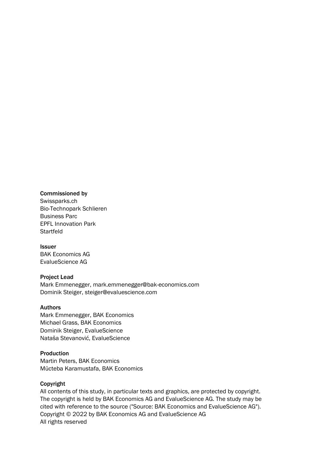#### Commissioned by

Swissparks.ch Bio-Technopark Schlieren Business Parc EPFL Innovation Park Startfeld

Issuer BAK Economics AG EvalueScience AG

#### Project Lead

Mark Emmenegger, mark.emmenegger@bak-economics.com Dominik Steiger, steiger@evaluescience.com

#### Authors

Mark Emmenegger, BAK Economics Michael Grass, BAK Economics Dominik Steiger, EvalueScience Nataša Stevanović, EvalueScience

### **Production**

Martin Peters, BAK Economics Mücteba Karamustafa, BAK Economics

#### Copyright

All contents of this study, in particular texts and graphics, are protected by copyright. The copyright is held by BAK Economics AG and EvalueScience AG. The study may be cited with reference to the source ("Source: BAK Economics and EvalueScience AG"). Copyright © 2022 by BAK Economics AG and EvalueScience AG All rights reserved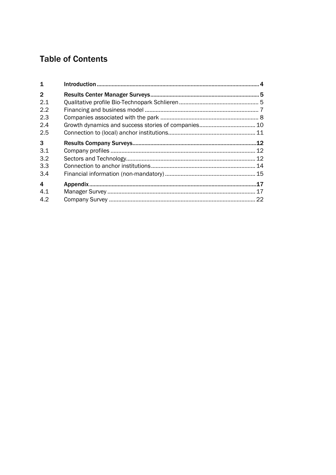# **Table of Contents**

| .12 |
|-----|
| 12  |
|     |
|     |
|     |
|     |
|     |
|     |
|     |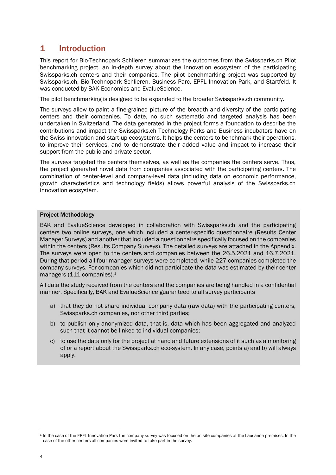## 1 Introduction

This report for Bio-Technopark Schlieren summarizes the outcomes from the Swissparks.ch Pilot benchmarking project, an in-depth survey about the innovation ecosystem of the participating Swissparks.ch centers and their companies. The pilot benchmarking project was supported by Swissparks.ch, Bio-Technopark Schlieren, Business Parc, EPFL Innovation Park, and Startfeld. It was conducted by BAK Economics and EvalueScience.

The pilot benchmarking is designed to be expanded to the broader Swissparks.ch community.

The surveys allow to paint a fine-grained picture of the breadth and diversity of the participating centers and their companies. To date, no such systematic and targeted analysis has been undertaken in Switzerland. The data generated in the project forms a foundation to describe the contributions and impact the Swissparks.ch Technology Parks and Business incubators have on the Swiss innovation and start-up ecosystems. It helps the centers to benchmark their operations, to improve their services, and to demonstrate their added value and impact to increase their support from the public and private sector.

The surveys targeted the centers themselves, as well as the companies the centers serve. Thus, the project generated novel data from companies associated with the participating centers. The combination of center-level and company-level data (including data on economic performance, growth characteristics and technology fields) allows powerful analysis of the Swissparks.ch innovation ecosystem.

#### Project Methodology

BAK and EvalueScience developed in collaboration with Swissparks.ch and the participating centers two online surveys, one which included a center-specific questionnaire (Results Center Manager Surveys) and another that included a questionnaire specifically focused on the companies within the centers (Results Company Surveys). The detailed surveys are attached in the Appendix. The surveys were open to the centers and companies between the 26.5.2021 and 16.7.2021. During that period all four manager surveys were completed, while 227 companies completed the company surveys. For companies which did not participate the data was estimated by their center managers (111 companies).<sup>1</sup>

All data the study received from the centers and the companies are being handled in a confidential manner. Specifically, BAK and EvalueScience guaranteed to all survey participants

- a) that they do not share individual company data (raw data) with the participating centers, Swissparks.ch companies, nor other third parties;
- b) to publish only anonymized data, that is, data which has been aggregated and analyzed such that it cannot be linked to individual companies;
- c) to use the data only for the project at hand and future extensions of it such as a monitoring of or a report about the Swissparks.ch eco-system. In any case, points a) and b) will always apply.

<sup>1</sup> In the case of the EPFL Innovation Park the company survey was focused on the on-site companies at the Lausanne premises. In the case of the other centers all companies were invited to take part in the survey.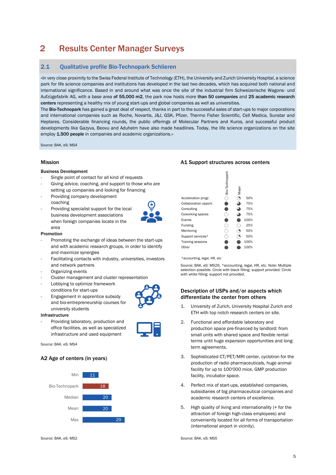# 2 Results Center Manager Surveys

### 2.1 Oualitative profile Bio-Technopark Schlieren

«In very close proximity to the Swiss Federal Institute of Technology (ETH), the University and Zurich University Hospital, a science park for life science companies and institutions has developed in the last two decades, which has acquired both national and international significance. Based in and around what was once the site of the industrial firm Schweizerische Wagons- und Aufzügefabrik AG, with a base area of 55,000 m2, the park now hosts more than 50 companies and 25 academic research centers representing a healthy mix of young start-ups and global companies as well as universities.

The Bio-Technopark has gained a great deal of respect, thanks in part to the successful sales of start-ups to major corporations and international companies such as Roche, Novartis, J&J, GSK, Pfizer, Thermo Fisher Scientific, Cell Medica, Sunstar and Heptares. Considerable financing rounds, the public offerings of Molecular Partners and Kuros, and successful product developments like Gazyva, Beovu and Aduhelm have also made headlines. Today, the life science organizations on the site employ 1,500 people in companies and academic organizations.»

Source: BAK, eS: MS4

#### Business Development

- Single point of contact for all kind of requests
- Giving advice, coaching, and support to those who are setting up companies and looking for financing
- Providing company development coaching
- Providing specialist support for the local business development associations when foreign companies locate in the area

### Promotion

- Promoting the exchange of ideas between the start-ups and with academic research groups, in order to identify and maximize synergies
- Facilitating contacts with industry, universities, investors and network partners
- Organizing events
- Cluster management and cluster representation
- Lobbying to optimize framework conditions for start-ups
- Engagement in apprentice subsidy and bio-entrepreneurship courses for university students

#### Infrastructure

Providing laboratory, production and office facilities, as well as specialized infrastructure and used equipment

Source: BAK, eS: MS4

#### A2 Age of centers (in years)



#### Source: BAK, eS: MS2 Source: BAK, eS: MS5

#### Mission **A1 Support structures across centers**  $A1$  Support structures across centers

|                          | Bio-Technopark | Mean |      |
|--------------------------|----------------|------|------|
| Acceleration progr.      |                |      | 50%  |
| Collaboration opport.    |                |      | 75%  |
| Consulting               |                |      | 75%  |
| Coworking spaces         |                |      | 75%  |
| Events                   |                |      | 100% |
| Funding                  |                |      | 25%  |
| Mentoring                |                |      | 50%  |
| Support services*        |                |      | 50%  |
| <b>Training sessions</b> |                |      | 100% |
| Other                    |                |      | 100% |

\*accounting, legal, HR, etc

Source: BAK, eS: MS26. \*accounting, legal, HR, etc. Note: Multiple selection possible. Circle with black filling: support provided. Circle with white filling: support not provided.

#### Description of USPs and/or aspects which differentiate the center from others

- 1. University of Zurich, University Hospital Zurich and ETH with top notch research centers on site.
- 2. Functional and affordable laboratory and production space pre-financed by landlord: from small units with shared space and flexible rental terms until huge expansion opportunities and longterm agreements.
- 3. Sophisticated CT/PET/MRI center, cyclotron for the production of radio pharmaceuticals, huge animal facility for up to 100'000 mice, GMP production facility, incubator space.
- 4. Perfect mix of start-ups, established companies, subsidiaries of big pharmaceutical companies and academic research centers of excellence.
- 5. High quality of living and internationality (+ for the attraction of foreign high-class employees) and conveniently located for all forms of transportation (international airport in vicinity).

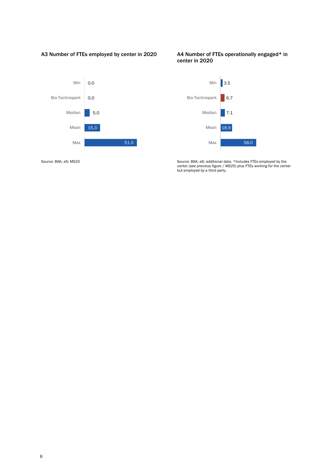A3 Number of FTEs employed by center in 2020 A4 Number of FTEs operationally engaged\* in



# center in 2020



Source: BAK, eS: MS25 Source: BAK, eS: additional data. \*Includes FTEs employed by the center (see previous figure / MS25) plus FTEs working for the center but employed by a third party.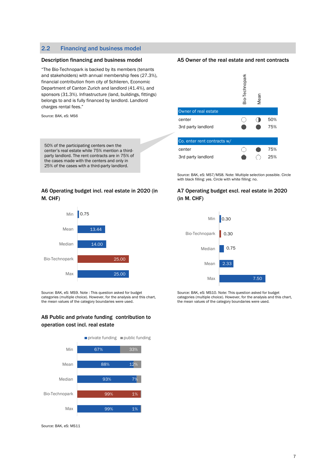#### 2.2 Financing and business model

"The Bio-Technopark is backed by its members (tenants and stakeholders) with annual membership fees (27.3%), financial contribution from city of Schlieren, Economic Department of Canton Zurich and landlord (41.4%), and sponsors (31.3%). Infrastructure (land, buildings, fittings) belongs to and is fully financed by landlord. Landlord charges rental fees."

Source: BAK, eS: MS6

50% of the participating centers own the center's real estate while 75% mention a thirdparty landlord. The rent contracts are in 75% of the cases made with the centers and only in 25% of the cases with a third-party landlord.

#### A6 Operating budget incl. real estate in 2020 (in M. CHF)



Source: BAK, eS: MS9. Note : This question asked for budget categories (multiple choice). However, for the analysis and this chart, the mean values of the category boundaries were used.

#### A8 Public and private funding contribution to operation cost incl. real estate



Source: BAK, eS: MS11

#### Description financing and business model A5 Owner of the real estate and rent contracts



Source: BAK, eS: MS7/MS8. Note: Multiple selection possible. Circle with black filling: yes. Circle with white filling: no.

#### A7 Operating budget excl. real estate in 2020 (in M. CHF)



Source: BAK, eS: MS10. Note: This question asked for budget categories (multiple choice). However, for the analysis and this chart, the mean values of the category boundaries were used.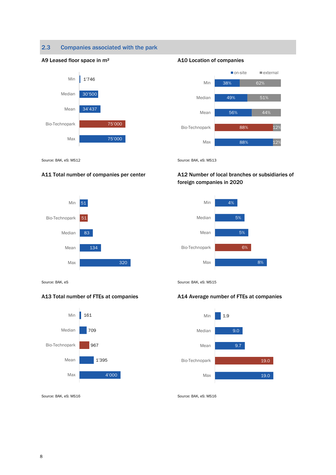### 2.3 Companies associated with the park







Source: BAK, eS: MS12 Source: BAK, eS: MS13



#### A11 Total number of companies per center A12 Number of local branches or subsidiaries of foreign companies in 2020



Source: BAK, eS: MS15





#### A13 Total number of FTEs at companies **A14 Average number of FTEs at companies**



Source: BAK, eS: MS16 Source: BAK, eS: MS16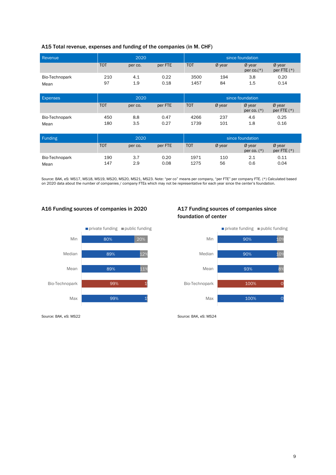| A15 Total revenue, expenses and funding of the companies (in M. CHF) |  |  |  |
|----------------------------------------------------------------------|--|--|--|
|----------------------------------------------------------------------|--|--|--|

| Revenue         | 2020       |         | since foundation |            |                  |                           |                         |
|-----------------|------------|---------|------------------|------------|------------------|---------------------------|-------------------------|
|                 | <b>TOT</b> | per co. | per FTE          | <b>TOT</b> | $Ø$ year         | Ø year<br>per $co.(*)$    | Ø year<br>per FTE $(*)$ |
| Bio-Technopark  | 210        | 4.1     | 0.22             | 3500       | 194              | 3.8                       | 0.20                    |
| Mean            | 97         | 1.9     | 0.18             | 1457       | 84               | 1.5                       | 0.14                    |
| <b>Expenses</b> | 2020       |         | since foundation |            |                  |                           |                         |
|                 | <b>TOT</b> | per co. | per FTE          | <b>TOT</b> | $Ø$ year         | Ø year<br>per co. $(*)$   | Ø year<br>per FTE $(*)$ |
| Bio-Technopark  | 450        | 8.8     | 0.47             | 4266       | 237              | 4.6                       | 0.25                    |
| Mean            | 180        | 3.5     | 0.27             | 1739       | 101              | 1.8                       | 0.16                    |
| Funding         | 2020       |         |                  |            | since foundation |                           |                         |
|                 | <b>TOT</b> | per co. | per FTE          | <b>TOT</b> | $Ø$ year         | $Ø$ year<br>per co. $(*)$ | Ø year<br>per FTE $(*)$ |
| Bio-Technopark  | 190        | 3.7     | 0.20             | 1971       | 110              | 2.1                       | 0.11                    |
| Mean            | 147        | 2.9     | 0.08             | 1275       | 56               | 0.6                       | 0.04                    |

Source: BAK, eS: MS17, MS18, MS19, MS20, MS20, MS21, MS23. Note: "per co" means per company, "per FTE" per company FTE. (\*) Calculated based<br>on 2020 data about the number of companies / company FTEs which may not be repres

#### A16 Funding sources of companies in 2020 A17 Funding sources of companies since

Min

Median

Mean

Max

80%

 $p$  private funding  $p$  public funding

20%

 $12%$ 

11%

 $1$ 

 $1$ 

89%

89%

99%

99%

# foundation of center



Source: BAK, eS: MS22 Source: BAK, eS: MS24

Bio-Technopark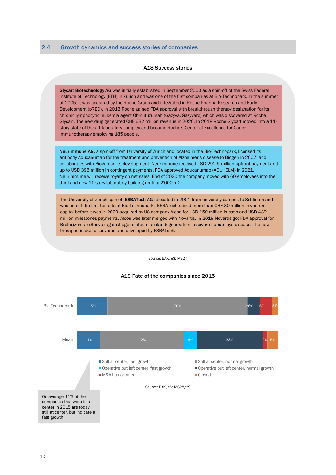#### A18 Success stories

Glycart Biotechnology AG was initially established in September 2000 as a spin-off of the Swiss Federal Institute of Technology (ETH) in Zurich and was one of the first companies at Bio-Technopark. In the summer of 2005, it was acquired by the Roche Group and integrated in Roche Pharma Research and Early Development (pRED). In 2013 Roche gained FDA approval with breakthrough therapy designation for its chronic lymphocytic leukemia agent Obinutuzumab (Gazyva/Gazyvaro) which was discovered at Roche Glycart. The new drug generated CHF 632 million revenue in 2020. In 2018 Roche Glycart moved into a 11 story state-of-the-art laboratory complex and became Roche's Center of Excellence for Cancer Immunotherapy employing 185 people.

Neurimmune AG, a spin-off from University of Zurich and located in the Bio-Technopark, licensed its antibody Aducanumab for the treatment and prevention of Alzheimer's disease to Biogen in 2007, and collaborates with Biogen on its development. Neurimmune received USD 292.5 million upfront payment and up to USD 395 million in contingent payments. FDA approved Aducanumab (ADUHELM) in 2021. Neurimmune will receive royalty on net sales. End of 2020 the company moved with 60 employees into the third and new 11-story laboratory building renting 2'000 m2.

The University of Zurich spin-off ESBATech AG relocated in 2001 from university campus to Schlieren and was one of the first tenants at Bio-Technopark. ESBATech raised more than CHF 80 million in venture capital before it was in 2009 acquired by US company Alcon for USD 150 million in cash and USD 439 million milestones payments. Alcon was later merged with Novartis. In 2019 Novartis got FDA approval for Brolucizumab (Beovu) against age-related macular degeneration, a severe human eye disease. The new therapeutic was discovered and developed by ESBATech.

Source: BAK, eS: MS27

#### A19 Fate of the companies since 2015

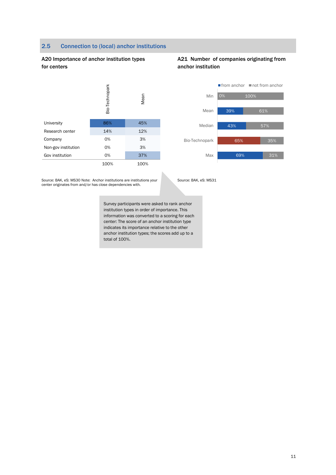#### 2.5 Connection to (local) anchor institutions

#### A20 Importance of anchor institution types for centers



|                     | Bio-T |      |
|---------------------|-------|------|
| University          | 86%   | 45%  |
| Research center     | 14%   | 12%  |
| Company             | 0%    | 3%   |
| Non-gov institution | 0%    | 3%   |
| Gov institution     | 0%    | 37%  |
|                     | 100%  | 100% |

#### A21 Number of companies originating from anchor institution



Source: BAK, eS: MS30 Note: Anchor institutions are institutions your center originates from and/or has close dependencies with.

Source: BAK, eS: MS31

Survey participants were asked to rank anchor institution types in order of importance. This information was converted to a scoring for each center: The score of an anchor institution type indicates its importance relative to the other anchor institution types; the scores add up to a total of 100%.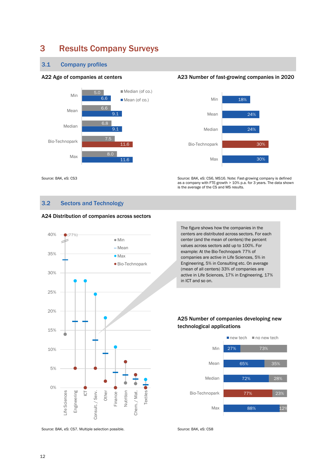# 3 Results Company Surveys

#### 3.1 Company profiles



#### A22 Age of companies at centers A23 Number of fast-growing companies in 2020



Source: BAK, eS: CS3 Source: BAK, eS: CS6, MS16. Note: Fast-growing company is defined as a company with FTE-growth > 10% p.a. for 3 years. The data shown is the average of the CS and MS results.

#### 3.2 Sectors and Technology



Source: BAK, eS: CS7. Multiple selection possible. Source: BAK, eS: CS8

The figure shows how the companies in the centers are distributed across sectors. For each center (and the mean of centers) the percent values across sectors add up to 100%. For example: At the Bio-Technopark 77% of companies are active in Life Sciences, 5% in Engineering, 5% in Consulting etc. On average (mean of all centers) 33% of companies are active in Life Sciences, 17% in Engineering, 17% in ICT and so on.

### A25 Number of companies developing new technological applications



# A24 Distribution of companies across sectors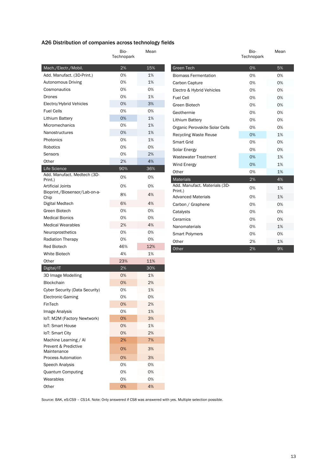### A26 Distribution of companies across technology fields

 $\overline{\phantom{a}}$ 

|                                          | Bio-       | Mean |
|------------------------------------------|------------|------|
|                                          | Technopark |      |
| Mach./Electr./Mobil.                     | 2%         | 15%  |
| Add. Manufact. (3D-Print.)               | 0%         | 1%   |
| Autonomous Driving                       | 0%         | 1%   |
| Cosmonautics                             | 0%         | 0%   |
| Drones                                   | 0%         | 1%   |
| Electro/Hybrid Vehicles                  | 0%         | 3%   |
| <b>Fuel Cells</b>                        | 0%         | 0%   |
| Lithium Battery                          | 0%         | 1%   |
| Micromechanics                           | 0%         | 1%   |
| Nanostructures                           | 0%         | 1%   |
| Photonics                                | 0%         | 1%   |
| Robotics                                 | 0%         | 0%   |
| Sensors                                  | 0%         | 2%   |
| Other                                    | 2%         | 4%   |
| Life Science                             | 90%        | 36%  |
| Add. Manufact. Medtech (3D-<br>Print.)   | 0%         | 0%   |
| <b>Artificial Joints</b>                 | 0%         | 0%   |
| Bioprint./Biosensor/Lab-on-a-<br>Chip    | 8%         | 4%   |
| Digital Medtech                          | 6%         | 4%   |
| Green Biotech                            | 0%         | 0%   |
| <b>Medical Bionics</b>                   | 0%         | 0%   |
| <b>Medical Wearables</b>                 | 2%         | 4%   |
| Neuroprosthetics                         | 0%         | 0%   |
| <b>Radiation Therapy</b>                 | 0%         | 0%   |
| <b>Red Biotech</b>                       | 46%        | 12%  |
| White Biotech                            | 4%         | 1%   |
| Other                                    | 23%        | 11%  |
| Digital/IT                               | 2%         | 30%  |
| 3D Image Modelling                       | 0%         | 1%   |
| <b>Blockchain</b>                        | 0%         | 2%   |
| Cyber Security (Data Security)           | 0%         | 1%   |
| <b>Electronic Gaming</b>                 | 0%         | 0%   |
| FinTech                                  | 0%         | 2%   |
| Image Analysis                           | 0%         | 1%   |
| IoT: M2M (Factory Newtwork)              | 0%         | 3%   |
| <b>IoT: Smart House</b>                  | 0%         | 1%   |
| IoT: Smart City                          | 0%         | 2%   |
| Machine Learning / Al                    | 2%         | 7%   |
| Prevent & Predictive                     | 0%         | 3%   |
| Maintenance<br><b>Process Automation</b> | 0%         | 3%   |
| Speech Analysis                          | 0%         | 0%   |
| <b>Quantum Computing</b>                 | 0%         | 0%   |
| Wearables                                | 0%         | 0%   |
| Other                                    | 0%         | 4%   |

|                                          | Bio-<br>Technopark | Mean |
|------------------------------------------|--------------------|------|
| Green Tech                               | 0%                 | 5%   |
| <b>Biomass Fermentation</b>              | 0%                 | 0%   |
| Carbon Capture                           | 0%                 | 0%   |
| Electro & Hybrid Vehicles                | 0%                 | 0%   |
| <b>Fuel Cell</b>                         | 0%                 | 0%   |
| Green Biotech                            | 0%                 | 0%   |
| Geothermie                               | 0%                 | 0%   |
| Lithium Battery                          | 0%                 | 0%   |
| Organic Perovskite Solar Cells           | 0%                 | 0%   |
| <b>Recycling Waste Reuse</b>             | 0%                 | 1%   |
| Smart Grid                               | 0%                 | 0%   |
| Solar Energy                             | 0%                 | 0%   |
| <b>Wastewater Treatment</b>              | 0%                 | 1%   |
| Wind Energy                              | 0%                 | 1%   |
| Other                                    | 0%                 | 1%   |
| <b>Materials</b>                         | 2%                 | 4%   |
| Add. Manufact. Materials (3D-<br>Print.) | 0%                 | 1%   |
| <b>Advanced Materials</b>                | 0%                 | 1%   |
| Carbon / Graphene                        | 0%                 | 0%   |
| Catalysts                                | 0%                 | 0%   |
| Ceramics                                 | 0%                 | 0%   |
| Nanomaterials                            | 0%                 | 1%   |
| <b>Smart Polymers</b>                    | 0%                 | 0%   |
| Other                                    | 2%                 | 1%   |
| Other                                    | 2%                 | 9%   |

Source: BAK, eS:CS9 – CS14. Note: Only answered if CS8 was answered with yes. Multiple selection possible.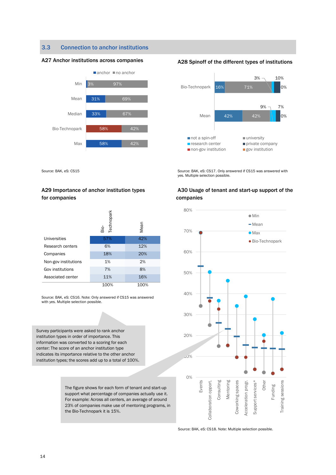#### 3.3 Connection to anchor institutions

#### A27 Anchor institutions across companies A28 Spinoff of the different types of institutions





Source: BAK, eS: CS15 Source: BAK, eS: CS17. Only answered if CS15 was answered with yes. Multiple selection possible.

#### A29 Importance of anchor institution types for companies

|                      | <b>Technopark</b><br>ä | Mean |
|----------------------|------------------------|------|
| Universities         | 57%                    | 42%  |
| Research centers     | 6%                     | 12%  |
| Companies            | 18%                    | 20%  |
| Non-gov institutions | 1%                     | 2%   |
| Gov institutions     | 7%                     | 8%   |
| Associated center    | 11%                    | 16%  |
|                      | 100%                   | 100% |

Source: BAK, eS: CS16. Note: Only answered if CS15 was answered with yes. Multiple selection possible.

Survey participants were asked to rank anchor institution types in order of importance. This information was converted to a scoring for each center: The score of an anchor institution type indicates its importance relative to the other anchor institution types; the scores add up to a total of 100%.

> The figure shows for each form of tenant and start-up support what percentage of companies actually use it. For example: Across all centers, an average of around 23% of companies make use of mentoring programs, in the Bio-Technopark it is 15%.

#### A30 Usage of tenant and start-up support of the companies



Source: BAK, eS: CS18. Note: Multiple selection possible.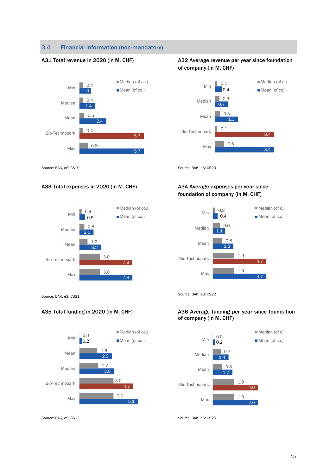### 3.4 Financial information (non-mandatory)



Median (of co.) Bio-Technopark Mean Median Min

#### A33 Total expenses in 2020 (in M. CHF) A34 Average expenses per year since



### A31 Total revenue in 2020 (in M. CHF) A32 Average revenue per year since foundation of company (in M. CHF)



Source: BAK, eS: CS19 Source: BAK, eS: CS20

# foundation of company (in M. CHF)



Source: BAK, eS: CS21 Source: BAK, eS: CS22

#### A35 Total funding in 2020 (in M. CHF) A36 Average funding per year since foundation of company (in M. CHF)



Source: BAK, eS: CS23 Source: BAK, eS: CS25

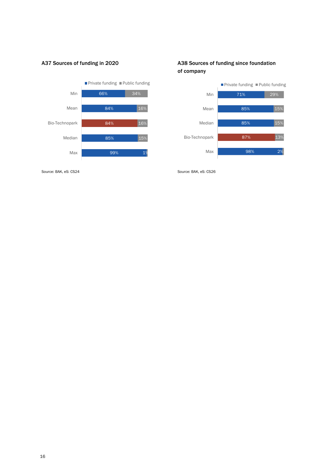

#### A37 Sources of funding in 2020 A38 Sources of funding since foundation of company



Source: BAK, eS: CS24 Source: BAK, eS: CS26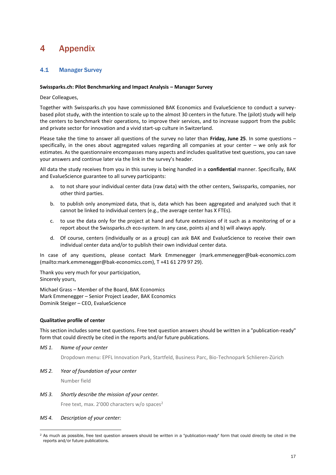# 4 Appendix

#### 4.1 Manager Survey

#### **Swissparks.ch: Pilot Benchmarking and Impact Analysis – Manager Survey**

Dear Colleagues,

Together with Swissparks.ch you have commissioned BAK Economics and EvalueScience to conduct a surveybased pilot study, with the intention to scale up to the almost 30 centers in the future. The (pilot) study will help the centers to benchmark their operations, to improve their services, and to increase support from the public and private sector for innovation and a vivid start-up culture in Switzerland.

Please take the time to answer all questions of the survey no later than **Friday, June 25**. In some questions – specifically, in the ones about aggregated values regarding all companies at your center – we only ask for estimates. As the questionnaire encompasses many aspects and includes qualitative text questions, you can save your answers and continue later via the link in the survey's header.

All data the study receives from you in this survey is being handled in a **confidential** manner. Specifically, BAK and EvalueScience guarantee to all survey participants:

- a. to not share your individual center data (raw data) with the other centers, Swissparks, companies, nor other third parties.
- b. to publish only anonymized data, that is, data which has been aggregated and analyzed such that it cannot be linked to individual centers (e.g., the average center has X FTEs).
- c. to use the data only for the project at hand and future extensions of it such as a monitoring of or a report about the Swissparks.ch eco-system. In any case, points a) and b) will always apply.
- d. Of course, centers (individually or as a group) can ask BAK and EvalueScience to receive their own individual center data and/or to publish their own individual center data.

In case of any questions, please contact Mark Emmenegger (mark.emmenegger@bak-economics.com (mailto:mark.emmenegger@bak-economics.com), T +41 61 279 97 29).

Thank you very much for your participation, Sincerely yours,

Michael Grass – Member of the Board, BAK Economics Mark Emmenegger – Senior Project Leader, BAK Economics Dominik Steiger – CEO, EvalueScience

#### **Qualitative profile of center**

This section includes some text questions. Free text question answers should be written in a "publication-ready" form that could directly be cited in the reports and/or future publications.

*MS 1. Name of your center*

Dropdown menu: EPFL Innovation Park, Startfeld, Business Parc, Bio-Technopark Schlieren-Zürich

*MS 2. Year of foundation of your center*

Number field

*MS 3. Shortly describe the mission of your center.*

Free text, max. 2'000 characters w/o spaces<sup>2</sup>

#### *MS 4. Description of your center:*

<sup>2</sup> As much as possible, free text question answers should be written in a "publication-ready" form that could directly be cited in the reports and/or future publications.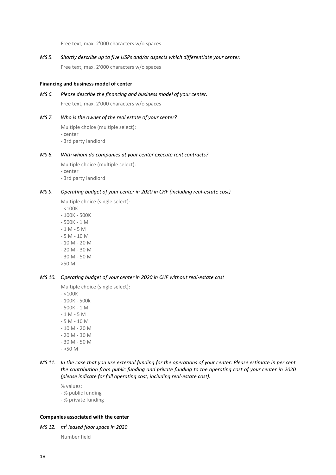Free text, max. 2'000 characters w/o spaces

*MS 5. Shortly describe up to five USPs and/or aspects which differentiate your center.*

Free text, max. 2'000 characters w/o spaces

#### **Financing and business model of center**

*MS 6. Please describe the financing and business model of your center.*

Free text, max. 2'000 characters w/o spaces

#### *MS 7. Who is the owner of the real estate of your center?*

Multiple choice (multiple select): - center - 3rd party landlord

#### *MS 8. With whom do companies at your center execute rent contracts?*

Multiple choice (multiple select):

- center
- 3rd party landlord

#### *MS 9. Operating budget of your center in 2020 in CHF (including real-estate cost)*

Multiple choice (single select):

- $< 100K$
- 100K 500K - 500K - 1 M - 1 M - 5 M - 5 M - 10 M - 10 M - 20 M - 20 M - 30 M - 30 M - 50 M
- >50 M

#### *MS 10. Operating budget of your center in 2020 in CHF without real-estate cost*

Multiple choice (single select):

- $< 100K$ - 100K - 500k - 500K - 1 M - 1 M - 5 M - 5 M - 10 M - 10 M - 20 M - 20 M - 30 M - 30 M - 50 M  $- > 50 M$
- *MS 11. In the case that you use external funding for the operations of your center: Please estimate in per cent the contribution from public funding and private funding to the operating cost of your center in 2020 (please indicate for full operating cost, including real-estate cost).*
	- % values: - % public funding - % private funding

#### **Companies associated with the center**

*MS 12. m<sup>2</sup> leased floor space in 2020*

Number field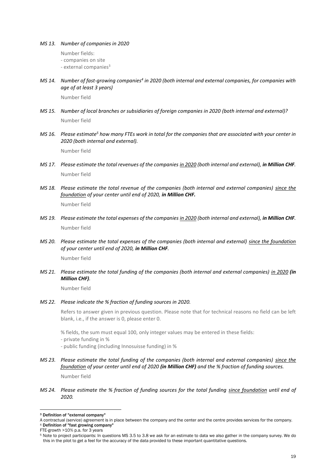#### *MS 13. Number of companies in 2020*

Number fields:

- companies on site
- $-$  external companies $3$
- *MS 14. Number of fast-growing companies<sup>4</sup> in 2020 (both internal and external companies, for companies with age of at least 3 years)*

Number field

- *MS 15. Number of local branches or subsidiaries of foreign companies in 2020 (both internal and external)?* Number field
- *MS 16. Please estimate<sup>5</sup> how many FTEs work in total for the companies that are associated with your center in 2020 (both internal and external).*

Number field

- *MS 17. Please estimate the total revenues of the companies in 2020 (both internal and external), in Million CHF.* Number field
- *MS 18. Please estimate the total revenue of the companies (both internal and external companies) since the foundation of your center until end of 2020, in Million CHF.*

Number field

- *MS 19. Please estimate the total expenses of the companies in 2020 (both internal and external), in Million CHF.* Number field
- *MS 20. Please estimate the total expenses of the companies (both internal and external) since the foundation of your center until end of 2020, in Million CHF.*

Number field

*MS 21. Please estimate the total funding of the companies (both internal and external companies) in 2020 (in Million CHF).*

Number field

#### *MS 22. Please indicate the % fraction of funding sources in 2020.*

Refers to answer given in previous question. Please note that for technical reasons no field can be left blank, i.e., if the answer is 0, please enter 0.

% fields, the sum must equal 100, only integer values may be entered in these fields:

- private funding in %
- public funding (including Innosuisse funding) in %
- *MS 23. Please estimate the total funding of the companies (both internal and external companies) since the foundation of your center until end of 2020 (in Million CHF) and the % fraction of funding sources.*

Number field

*MS 24. Please estimate the % fraction of funding sources for the total funding since foundation until end of 2020.*

<sup>4</sup> Definition of "fast growing company" FTE-growth >10% p.a. for 3 years

<sup>3</sup> Definition of "external company"

A contractual (service) agreement is in place between the company and the center and the centre provides services for the company.

<sup>5</sup> Note to project participants: In questions MS 3.5 to 3.8 we ask for an estimate to data we also gather in the company survey. We do this in the pilot to get a feel for the accuracy of the data provided to these important quantitative questions.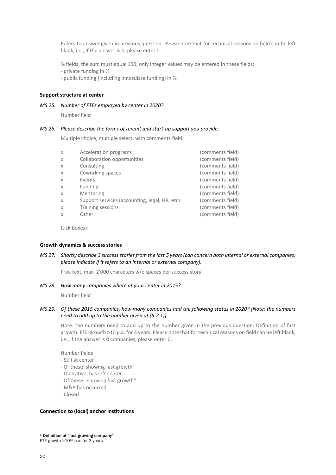Refers to answer given in previous question. Please note that for technical reasons no field can be left blank, i.e., if the answer is 0, please enter 0.

% fields, the sum must equal 100, only integer values may be entered in these fields:

- private funding in %

- public funding (including Innosuisse funding) in %

#### **Support structure at center**

*MS 25. Number of FTEs employed by center in 2020?*

Number field

#### *MS 26. Please describe the forms of tenant and start-up support you provide.*

Multiple choice, multiple select, with comments field.

| X | Acceleration programs                         | (comments field) |
|---|-----------------------------------------------|------------------|
| X | Collaboration opportunities                   | (comments field) |
| X | Consulting                                    | (comments field) |
| X | Coworking spaces                              | (comments field) |
| X | Events                                        | (comments field) |
| X | <b>Funding</b>                                | (comments field) |
| X | Mentoring                                     | (comments field) |
| X | Support services (accounting, legal, HR, etc) | (comments field) |
| X | Training sessions                             | (comments field) |
| X | Other                                         | (comments field) |
|   |                                               |                  |

(tick boxes)

#### **Growth dynamics & success stories**

#### *MS 27. Shortly describe 3 success stories from the last 5 years (can concern both internal or external companies; please indicate if it refers to an internal or external company).*

Free text, max. 2'000 characters w/o spaces per success story

#### *MS 28. How many companies where at your center in 2015?*

Number field

#### *MS 29. Of these 2015 companies, how many companies had the following status in 2020? [Note: the numbers need to add up to the number given at (5.2.1)]*

Note: the numbers need to add up to the number given in the previous question. Definition of fast growth: FTE-growth >10 p.a. for 3 years. Please note that for technical reasons on field can be left blank, i.e., if the answer is 0 companies, please enter 0.

Number fields

- Still at center
- Of these: showing fast growth<sup>6</sup>
- Operative, has left center
- Of these: showing fast growth $6$
- M&A has occurred
- Closed

#### **Connection to (local) anchor institutions**

<sup>6</sup> Definition of "fast growing company" FTE-growth >10% p.a. for 3 years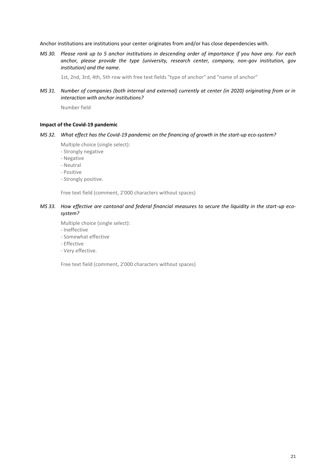Anchor institutions are institutions your center originates from and/or has close dependencies with.

*MS 30. Please rank up to 5 anchor institutions in descending order of importance if you have any. For each anchor, please provide the type (university, research center, company, non-gov institution, gov institution) and the name.*

1st, 2nd, 3rd, 4th, 5th row with free text fields "type of anchor" and "name of anchor"

*MS 31. Number of companies (both internal and external) currently at center (in 2020) originating from or in interaction with anchor institutions?*

Number field

#### **Impact of the Covid-19 pandemic**

#### *MS 32. What effect has the Covid-19 pandemic on the financing of growth in the start-up eco-system?*

Multiple choice (single select):

- Strongly negative
- Negative
- Neutral
- Positive
- Strongly positive.

Free text field (comment, 2'000 characters without spaces)

#### *MS 33. How effective are cantonal and federal financial measures to secure the liquidity in the start-up ecosystem?*

Multiple choice (single select):

- Ineffective
- Somewhat effective
- Effective
- Very effective.

Free text field (comment, 2'000 characters without spaces)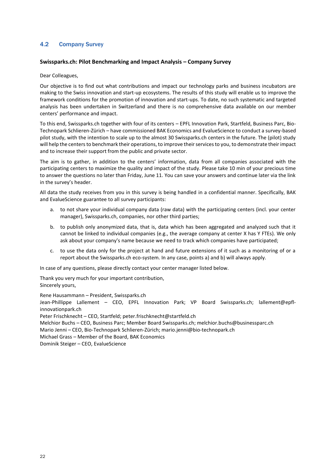#### 4.2 Company Survey

#### **Swissparks.ch: Pilot Benchmarking and Impact Analysis – Company Survey**

#### Dear Colleagues,

Our objective is to find out what contributions and impact our technology parks and business incubators are making to the Swiss innovation and start-up ecosystems. The results of this study will enable us to improve the framework conditions for the promotion of innovation and start-ups. To date, no such systematic and targeted analysis has been undertaken in Switzerland and there is no comprehensive data available on our member centers' performance and impact.

To this end, Swissparks.ch together with four of its centers – EPFL Innovation Park, Startfeld, Business Parc, Bio-Technopark Schlieren-Zürich – have commissioned BAK Economics and EvalueScience to conduct a survey-based pilot study, with the intention to scale up to the almost 30 Swissparks.ch centers in the future. The (pilot) study will help the centers to benchmark their operations, to improve their services to you, to demonstrate their impact and to increase their support from the public and private sector.

The aim is to gather, in addition to the centers' information, data from all companies associated with the participating centers to maximize the quality and impact of the study. Please take 10 min of your precious time to answer the questions no later than Friday, June 11. You can save your answers and continue later via the link in the survey's header.

All data the study receives from you in this survey is being handled in a confidential manner. Specifically, BAK and EvalueScience guarantee to all survey participants:

- a. to not share your individual company data (raw data) with the participating centers (incl. your center manager), Swissparks.ch, companies, nor other third parties;
- b. to publish only anonymized data, that is, data which has been aggregated and analyzed such that it cannot be linked to individual companies (e.g., the average company at center X has Y FTEs). We only ask about your company's name because we need to track which companies have participated;
- c. to use the data only for the project at hand and future extensions of it such as a monitoring of or a report about the Swissparks.ch eco-system. In any case, points a) and b) will always apply.

In case of any questions, please directly contact your center manager listed below.

Thank you very much for your important contribution, Sincerely yours,

Rene Hausammann – President, Swissparks.ch

Jean-Phillippe Lallement – CEO, EPFL Innovation Park; VP Board Swissparks.ch; lallement@epflinnovationpark.ch

Peter Frischknecht – CEO, Startfeld; peter.frischknecht@startfeld.ch

Melchior Buchs – CEO, Business Parc; Member Board Swissparks.ch; melchior.buchs@businessparc.ch

Mario Jenni – CEO, Bio-Technopark Schlieren-Zürich; mario.jenni@bio-technopark.ch

Michael Grass – Member of the Board, BAK Economics

Dominik Steiger – CEO, EvalueScience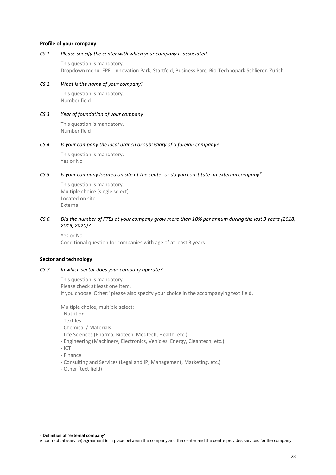#### **Profile of your company**

#### *CS 1. Please specify the center with which your company is associated.*

This question is mandatory. Dropdown menu: EPFL Innovation Park, Startfeld, Business Parc, Bio-Technopark Schlieren-Zürich

#### *CS 2. What is the name of your company?*

This question is mandatory. Number field

#### *CS 3. Year of foundation of your company*

This question is mandatory. Number field

#### *CS 4. Is your company the local branch or subsidiary of a foreign company?*

This question is mandatory. Yes or No

#### *CS 5. Is your company located on site at the center or do you constitute an external company<sup>7</sup>*

This question is mandatory. Multiple choice (single select): Located on site External

#### *CS 6. Did the number of FTEs at your company grow more than 10% per annum during the last 3 years (2018, 2019, 2020)?*

Yes or No Conditional question for companies with age of at least 3 years.

#### **Sector and technology**

#### *CS 7. In which sector does your company operate?*

This question is mandatory. Please check at least one item. If you choose 'Other:' please also specify your choice in the accompanying text field.

Multiple choice, multiple select:

- Nutrition
- Textiles
- Chemical / Materials
- Life Sciences (Pharma, Biotech, Medtech, Health, etc.)
- Engineering (Machinery, Electronics, Vehicles, Energy, Cleantech, etc.)
- ICT
- Finance
- Consulting and Services (Legal and IP, Management, Marketing, etc.)
- Other (text field)

<sup>7</sup> Definition of "external company"

A contractual (service) agreement is in place between the company and the center and the centre provides services for the company.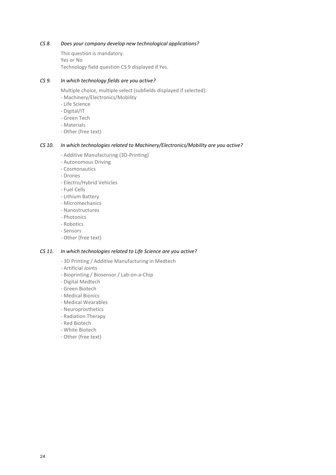#### *CS 8. Does your company develop new technological applications?*

This question is mandatory. Yes or No Technology field question CS 9 displayed if Yes.

#### *CS 9. In which technology fields are you active?*

Multiple choice, multiple select (subfields displayed if selected):

- Machinery/Electronics/Mobility

- Life Science
- Digital/IT
- Green Tech
- Materials
- Other (free text)

#### *CS 10. In which technologies related to Machinery/Electronics/Mobility are you active?*

- Additive Manufacturing (3D-Printing)
- Autonomous Driving
- Cosmonautics
- Drones
- Electro/Hybrid Vehicles
- Fuel Cells
- Lithium Battery
- Micromechanics
- Nanostructures
- Photonics
- Robotics
- Sensors
- Other (free text)

#### *CS 11. In which technologies related to Life Science are you active?*

- 3D Printing / Additive Manufacturing in Medtech
- Artificial Joints
- Bioprinting / Biosensor / Lab-on-a-Chip
- Digital Medtech
- Green Biotech
- Medical Bionics
- Medical Wearables
- Neuroprosthetics
- Radiation Therapy
- Red Biotech
- White Biotech
- Other (free text)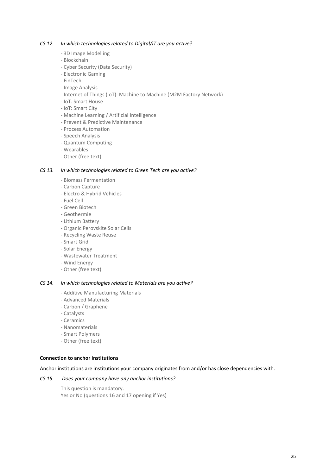#### *CS 12. In which technologies related to Digital/IT are you active?*

- 3D Image Modelling
- Blockchain
- Cyber Security (Data Security)
- Electronic Gaming
- FinTech
- Image Analysis
- Internet of Things (IoT): Machine to Machine (M2M Factory Network)
- IoT: Smart House
- IoT: Smart City
- Machine Learning / Artificial Intelligence
- Prevent & Predictive Maintenance
- Process Automation
- Speech Analysis
- Quantum Computing
- Wearables
- Other (free text)

### *CS 13. In which technologies related to Green Tech are you active?*

- Biomass Fermentation
- Carbon Capture
- Electro & Hybrid Vehicles
- Fuel Cell
- Green Biotech
- Geothermie
- Lithium Battery
- Organic Perovskite Solar Cells
- Recycling Waste Reuse
- Smart Grid
- Solar Energy
- Wastewater Treatment
- Wind Energy
- Other (free text)

#### *CS 14. In which technologies related to Materials are you active?*

- Additive Manufacturing Materials
- Advanced Materials
- Carbon / Graphene
- Catalysts
- Ceramics
- Nanomaterials
- Smart Polymers
- Other (free text)

#### **Connection to anchor institutions**

Anchor institutions are institutions your company originates from and/or has close dependencies with.

#### *CS 15. Does your company have any anchor institutions?*

This question is mandatory. Yes or No (questions 16 and 17 opening if Yes)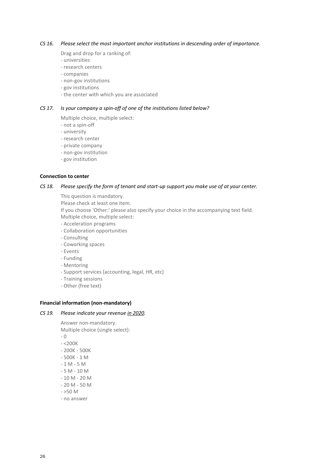#### *CS 16. Please select the most important anchor institutions in descending order of importance.*

Drag and drop for a ranking of:

- universities
- research centers
- companies
- non-gov institutions
- gov institutions
- the center with which you are associated

#### *CS 17. Is your company a spin-off of one of the institutions listed below?*

Multiple choice, multiple select:

- not a spin-off
- university
- research center
- private company
- non-gov institution
- gov institution

#### **Connection to center**

#### *CS 18. Please specify the form of tenant and start-up support you make use of at your center.*

This question is mandatory. Please check at least one item. If you choose 'Other:' please also specify your choice in the accompanying text field. Multiple choice, multiple select: - Acceleration programs

- Collaboration opportunities
- Consulting
- Coworking spaces
- Events
- Funding
- Mentoring
- Support services (accounting, legal, HR, etc)
- Training sessions
- Other (free text)

#### **Financial information (non-mandatory)**

#### *CS 19. Please indicate your revenue in 2020.*

Answer non-mandatory. Multiple choice (single select): - 0

- 
- $< 200K$ - 200K - 500K
- 500K 1 M
- $-1 M 5 M$
- 5 M 10 M
- 
- 10 M 20 M - 20 M - 50 M
- $>50$  M
- no answer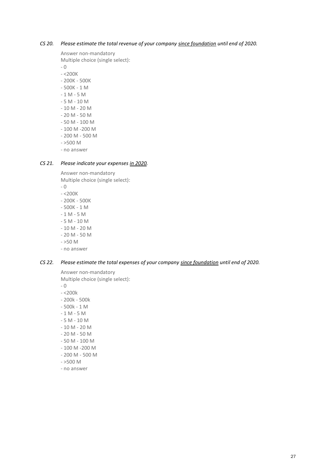#### *CS 20. Please estimate the total revenue of your company since foundation until end of 2020.*

Answer non-mandatory

Multiple choice (single select):

- 0

- <200K
- 200K 500K
- 500K 1 M
- 1 M 5 M
- 5 M 10 M
- 10 M 20 M
- 20 M 50 M
- 50 M 100 M
- 100 M -200 M
- 200 M 500 M
- $>500$  M
- no answer

#### *CS 21. Please indicate your expenses in 2020.*

Answer non-mandatory Multiple choice (single select):

- 0
- $<sub>200K</sub>$
- 200K 500K
- 500K 1 M
- $-1 M 5 M$
- 5 M 10 M
- 10 M 20 M
- 20 M 50 M
- $>50$  M
- no answer

#### *CS 22. Please estimate the total expenses of your company since foundation until end of 2020.*

Answer non-mandatory

Multiple choice (single select):

- 0
- <200k
- 200k 500k
- 500k 1 M
- $-1 M 5 M$
- 5 M 10 M
- 10 M 20 M
- 20 M 50 M
- 50 M 100 M
- 100 M -200 M
- 200 M 500 M
- $>500$  M
- no answer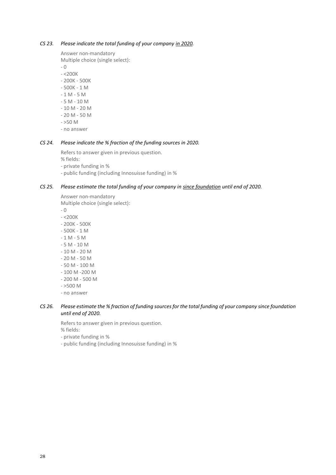#### *CS 23. Please indicate the total funding of your company in 2020.*

Answer non-mandatory

Multiple choice (single select):

- 0

- <200K
- 200K 500K
- 500K 1 M
- 1 M 5 M - 5 M - 10 M
- 10 M 20 M
- 
- 20 M 50 M
- $>50 M$ - no answer

### *CS 24. Please indicate the % fraction of the funding sources in 2020.*

Refers to answer given in previous question.

% fields:

- private funding in %
- public funding (including Innosuisse funding) in %

#### *CS 25. Please estimate the total funding of your company in since foundation until end of 2020.*

Answer non-mandatory Multiple choice (single select):

- 0

- <200K
- 200K 500K
- 500K 1 M
- $-1 M 5 M$
- 5 M 10 M
- 10 M 20 M
- 20 M 50 M
- 50 M 100 M
- 100 M -200 M
- 200 M 500 M
- $>500$  M
- no answer

#### *CS 26. Please estimate the % fraction of funding sources for the total funding of your company since foundation until end of 2020.*

Refers to answer given in previous question.

% fields:

- private funding in %
- public funding (including Innosuisse funding) in %